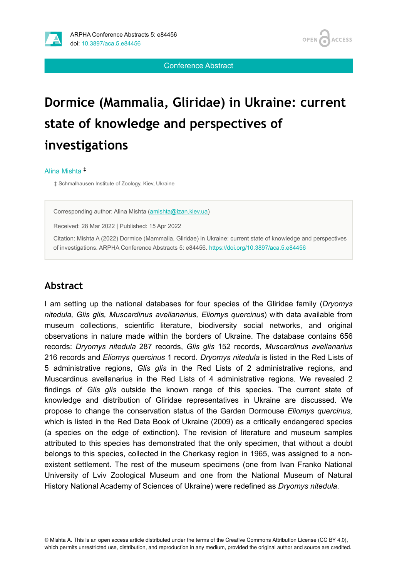

OPEN<sub>6</sub> **ACCESS** 

Conference Abstract

# **Dormice (Mammalia, Gliridae) in Ukraine: сurrent state of knowledge and perspectives of investigations**

#### Alina Mishta ‡

‡ Schmalhausen Institute of Zoology, Kiev, Ukraine

Corresponding author: Alina Mishta ([amishta@izan.kiev.ua\)](mailto:amishta@izan.kiev.ua)

Received: 28 Mar 2022 | Published: 15 Apr 2022

Citation: Mishta A (2022) Dormice (Mammalia, Gliridae) in Ukraine: сurrent state of knowledge and perspectives of investigations. ARPHA Conference Abstracts 5: e84456.<https://doi.org/10.3897/aca.5.e84456>

#### **Abstract**

I am setting up the national databases for four species of the Gliridae family (*Dryomys nitedula, Glis glis, Muscardinus avellanarius, Eliomys quercinus*) with data available from museum collections, scientific literature, biodiversity social networks, and original observations in nature made within the borders of Ukraine. The database contains 656 records: *Dryomys nitedula* 287 records, *Glis glis* 152 records, *Muscardinus avellanarius* 216 records and *Eliomys quercinus* 1 record. *Dryomys nitedula* is listed in the Red Lists of 5 administrative regions, *Glis glis* in the Red Lists of 2 administrative regions, and Muscardinus avellanarius in the Red Lists of 4 administrative regions. We revealed 2 findings of *Glis glis* outside the known range of this species. The current state of knowledge and distribution of Gliridae representatives in Ukraine are discussed. We propose to change the conservation status of the Garden Dormouse *Eliomys quercinus,* which is listed in the Red Data Book of Ukraine (2009) as a critically endangered species (a species on the edge of extinction). The revision of literature and museum samples attributed to this species has demonstrated that the only specimen, that without a doubt belongs to this species, collected in the Cherkasy region in 1965, was assigned to a nonexistent settlement. The rest of the museum specimens (one from Ivan Franko National University of Lviv Zoological Museum and one from the National Museum of Natural History National Academy of Sciences of Ukraine) were redefined as *Dryomys nitedula*.